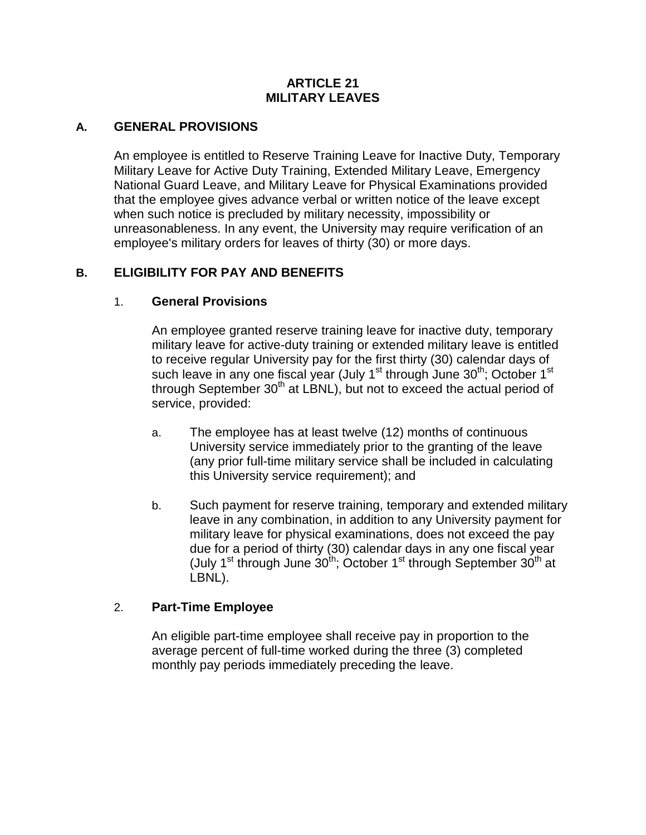#### **ARTICLE 21 MILITARY LEAVES**

#### **A. GENERAL PROVISIONS**

An employee is entitled to Reserve Training Leave for Inactive Duty, Temporary Military Leave for Active Duty Training, Extended Military Leave, Emergency National Guard Leave, and Military Leave for Physical Examinations provided that the employee gives advance verbal or written notice of the leave except when such notice is precluded by military necessity, impossibility or unreasonableness. In any event, the University may require verification of an employee's military orders for leaves of thirty (30) or more days.

# **B. ELIGIBILITY FOR PAY AND BENEFITS**

#### 1. **General Provisions**

An employee granted reserve training leave for inactive duty, temporary military leave for active-duty training or extended military leave is entitled to receive regular University pay for the first thirty (30) calendar days of such leave in any one fiscal year (July 1<sup>st</sup> through June 30<sup>th</sup>; October 1<sup>st</sup> through September  $30<sup>th</sup>$  at LBNL), but not to exceed the actual period of service, provided:

- a. The employee has at least twelve (12) months of continuous University service immediately prior to the granting of the leave (any prior full-time military service shall be included in calculating this University service requirement); and
- b. Such payment for reserve training, temporary and extended military leave in any combination, in addition to any University payment for military leave for physical examinations, does not exceed the pay due for a period of thirty (30) calendar days in any one fiscal year (July 1<sup>st</sup> through June  $30^{th}$ ; October 1<sup>st</sup> through September  $30^{th}$  at LBNL).

#### 2. **Part-Time Employee**

An eligible part-time employee shall receive pay in proportion to the average percent of full-time worked during the three (3) completed monthly pay periods immediately preceding the leave.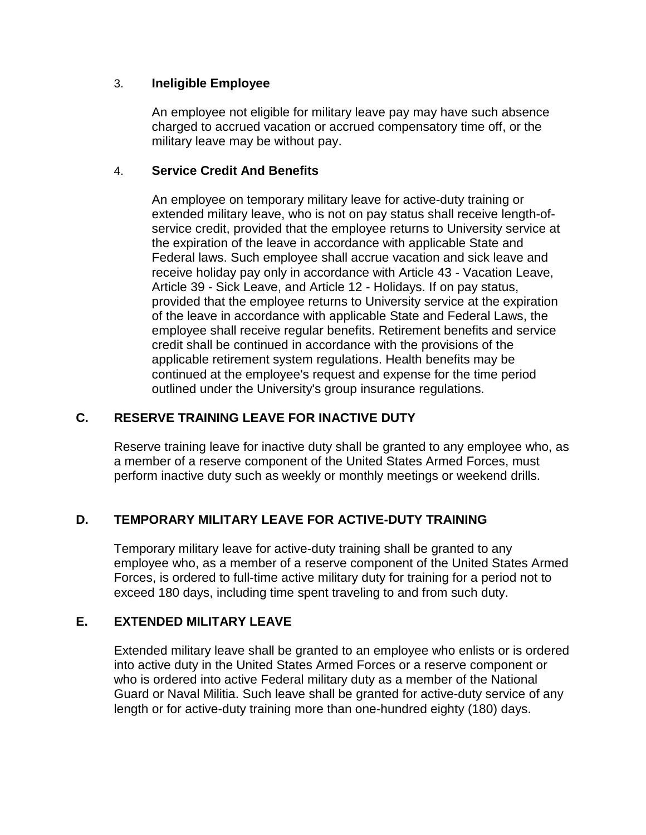#### 3. **Ineligible Employee**

An employee not eligible for military leave pay may have such absence charged to accrued vacation or accrued compensatory time off, or the military leave may be without pay.

# 4. **Service Credit And Benefits**

An employee on temporary military leave for active-duty training or extended military leave, who is not on pay status shall receive length-ofservice credit, provided that the employee returns to University service at the expiration of the leave in accordance with applicable State and Federal laws. Such employee shall accrue vacation and sick leave and receive holiday pay only in accordance with Article 43 - Vacation Leave, Article 39 - Sick Leave, and Article 12 - Holidays. If on pay status, provided that the employee returns to University service at the expiration of the leave in accordance with applicable State and Federal Laws, the employee shall receive regular benefits. Retirement benefits and service credit shall be continued in accordance with the provisions of the applicable retirement system regulations. Health benefits may be continued at the employee's request and expense for the time period outlined under the University's group insurance regulations.

# **C. RESERVE TRAINING LEAVE FOR INACTIVE DUTY**

Reserve training leave for inactive duty shall be granted to any employee who, as a member of a reserve component of the United States Armed Forces, must perform inactive duty such as weekly or monthly meetings or weekend drills.

# **D. TEMPORARY MILITARY LEAVE FOR ACTIVE-DUTY TRAINING**

Temporary military leave for active-duty training shall be granted to any employee who, as a member of a reserve component of the United States Armed Forces, is ordered to full-time active military duty for training for a period not to exceed 180 days, including time spent traveling to and from such duty.

# **E. EXTENDED MILITARY LEAVE**

Extended military leave shall be granted to an employee who enlists or is ordered into active duty in the United States Armed Forces or a reserve component or who is ordered into active Federal military duty as a member of the National Guard or Naval Militia. Such leave shall be granted for active-duty service of any length or for active-duty training more than one-hundred eighty (180) days.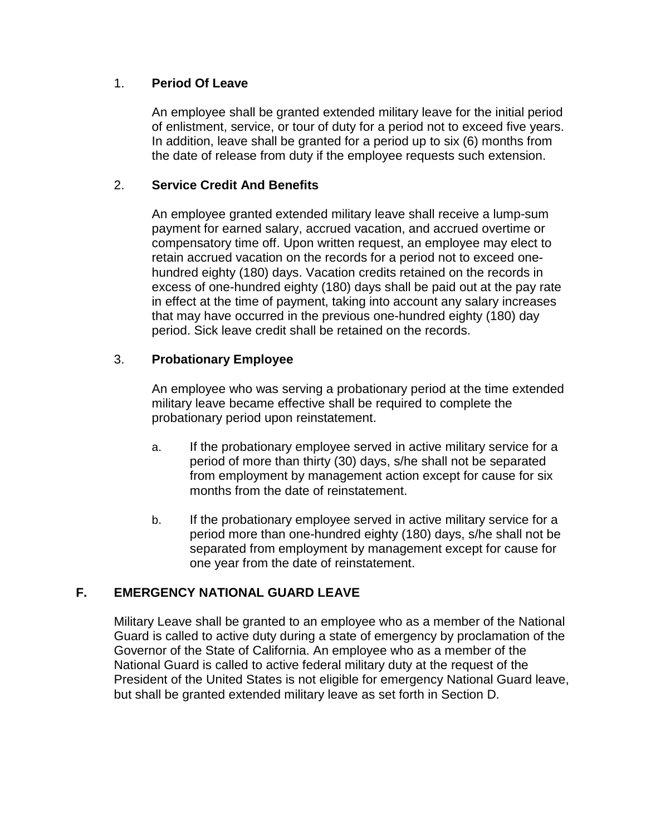#### 1. **Period Of Leave**

An employee shall be granted extended military leave for the initial period of enlistment, service, or tour of duty for a period not to exceed five years. In addition, leave shall be granted for a period up to six (6) months from the date of release from duty if the employee requests such extension.

# 2. **Service Credit And Benefits**

An employee granted extended military leave shall receive a lump-sum payment for earned salary, accrued vacation, and accrued overtime or compensatory time off. Upon written request, an employee may elect to retain accrued vacation on the records for a period not to exceed onehundred eighty (180) days. Vacation credits retained on the records in excess of one-hundred eighty (180) days shall be paid out at the pay rate in effect at the time of payment, taking into account any salary increases that may have occurred in the previous one-hundred eighty (180) day period. Sick leave credit shall be retained on the records.

# 3. **Probationary Employee**

An employee who was serving a probationary period at the time extended military leave became effective shall be required to complete the probationary period upon reinstatement.

- a. If the probationary employee served in active military service for a period of more than thirty (30) days, s/he shall not be separated from employment by management action except for cause for six months from the date of reinstatement.
- b. If the probationary employee served in active military service for a period more than one-hundred eighty (180) days, s/he shall not be separated from employment by management except for cause for one year from the date of reinstatement.

# **F. EMERGENCY NATIONAL GUARD LEAVE**

Military Leave shall be granted to an employee who as a member of the National Guard is called to active duty during a state of emergency by proclamation of the Governor of the State of California. An employee who as a member of the National Guard is called to active federal military duty at the request of the President of the United States is not eligible for emergency National Guard leave, but shall be granted extended military leave as set forth in Section D.